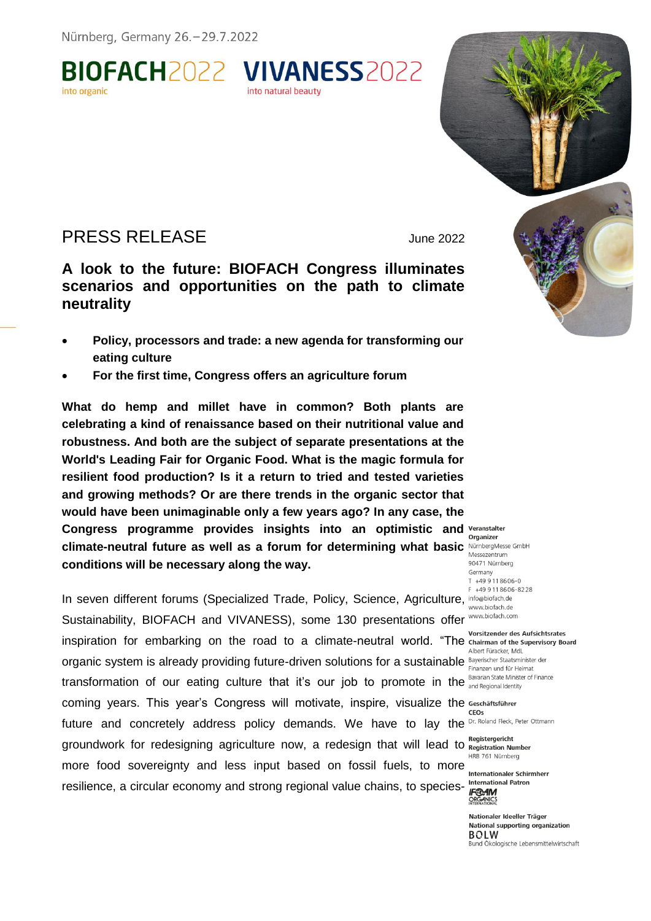

# PRESS RELEASE June 2022

into organic

**A look to the future: BIOFACH Congress illuminates scenarios and opportunities on the path to climate neutrality**

- **Policy, processors and trade: a new agenda for transforming our eating culture**
- **For the first time, Congress offers an agriculture forum**

**What do hemp and millet have in common? Both plants are celebrating a kind of renaissance based on their nutritional value and robustness. And both are the subject of separate presentations at the World's Leading Fair for Organic Food. What is the magic formula for resilient food production? Is it a return to tried and tested varieties and growing methods? Or are there trends in the organic sector that would have been unimaginable only a few years ago? In any case, the Congress programme provides insights into an optimistic and climate-neutral future as well as a forum for determining what basic conditions will be necessary along the way.**

In seven different forums (Specialized Trade, Policy, Science, Agriculture, inforabiofach.de Sustainability, BIOFACH and VIVANESS), some 130 presentations offer WWW.biofach.com inspiration for embarking on the road to a climate-neutral world. "The chairman of the Supervisory Board organic system is already providing future-driven solutions for a sustainable Bayerischer Staatsminister der<br>Finanzen und für Heimat transformation of our eating culture that it's our job to promote in the Bavarian State Minister of Finance coming years. This year's Congress will motivate, inspire, visualize the future and concretely address policy demands. We have to lay the Dr. Roland Fleck, Peter Ottmann groundwork for redesigning agriculture now, a redesign that will lead to Registergericht Number more food sovereignty and less input based on fossil fuels, to more **internationaler Schirmherr** resilience, a circular economy and strong regional value chains, to species-

Messezentrum 90471 Nürnberg Germany  $T + 499118606 - 0$  $+499118606 - 8228$ 

Albert Füracker, MdL

CEOs

ORGANICS

Nationaler Ideeller Träger National supporting organization **BOLW** Bund Ökologische Lebensmittelwirtschaft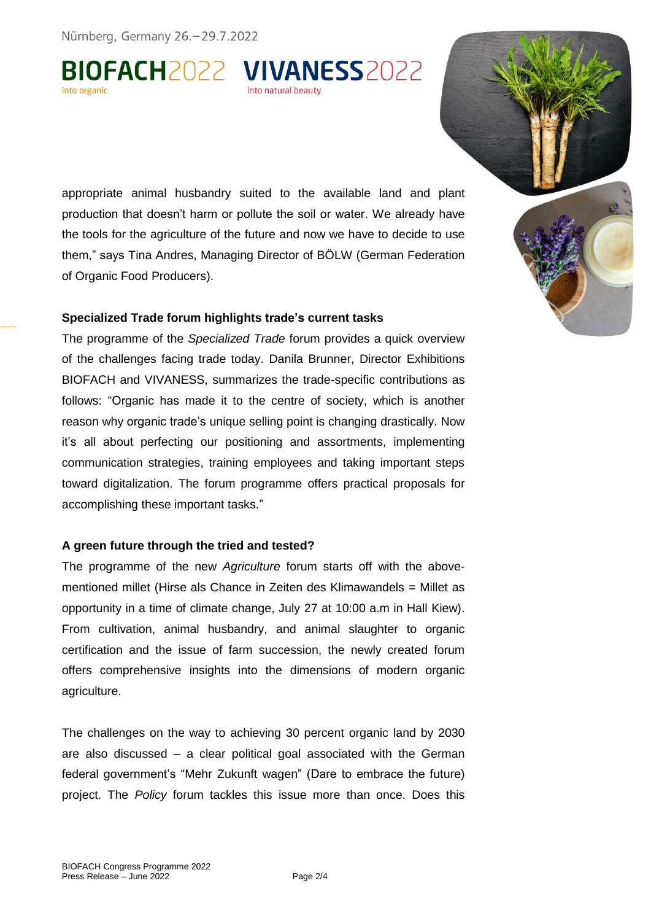Nürnberg, Germany 26. - 29.7.2022

BIOFACH2022 VIVANESS2022

appropriate animal husbandry suited to the available land and plant production that doesn't harm or pollute the soil or water. We already have the tools for the agriculture of the future and now we have to decide to use them," says Tina Andres, Managing Director of BÖLW (German Federation of Organic Food Producers).

## **Specialized Trade forum highlights trade's current tasks**

The programme of the *Specialized Trade* forum provides a quick overview of the challenges facing trade today. Danila Brunner, Director Exhibitions BIOFACH and VIVANESS, summarizes the trade-specific contributions as follows: "Organic has made it to the centre of society, which is another reason why organic trade's unique selling point is changing drastically. Now it's all about perfecting our positioning and assortments, implementing communication strategies, training employees and taking important steps toward digitalization. The forum programme offers practical proposals for accomplishing these important tasks."

# **A green future through the tried and tested?**

The programme of the new *Agriculture* forum starts off with the abovementioned millet (Hirse als Chance in Zeiten des Klimawandels = Millet as opportunity in a time of climate change, July 27 at 10:00 a.m in Hall Kiew). From cultivation, animal husbandry, and animal slaughter to organic certification and the issue of farm succession, the newly created forum offers comprehensive insights into the dimensions of modern organic agriculture.

The challenges on the way to achieving 30 percent organic land by 2030 are also discussed – a clear political goal associated with the German federal government's "Mehr Zukunft wagen" (Dare to embrace the future) project. The *Policy* forum tackles this issue more than once. Does this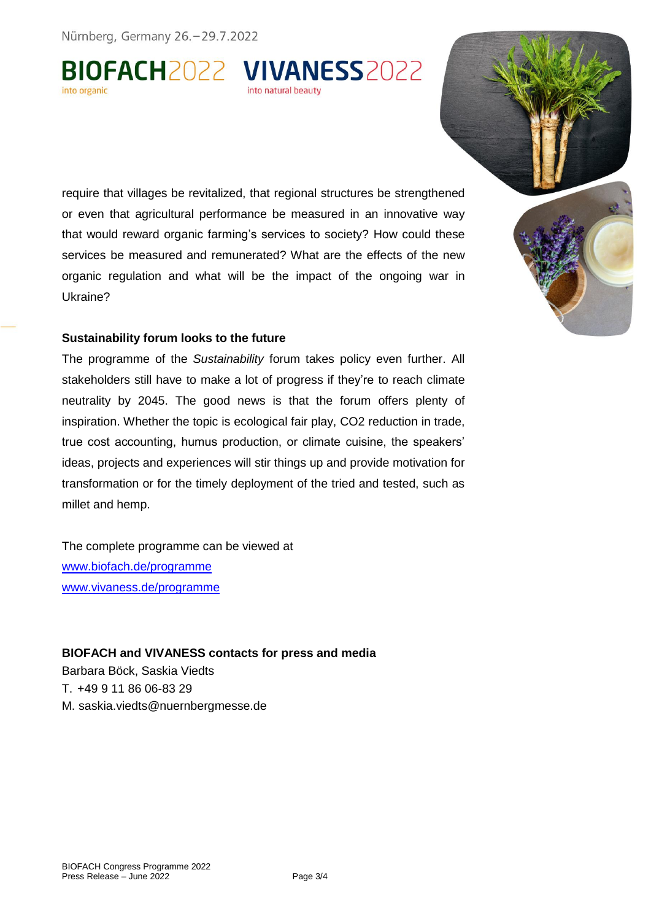Nürnberg, Germany 26. - 29.7.2022

BIOFACH2022 VIVANESS2022 into natural beauty

require that villages be revitalized, that regional structures be strengthened or even that agricultural performance be measured in an innovative way that would reward organic farming's services to society? How could these services be measured and remunerated? What are the effects of the new organic regulation and what will be the impact of the ongoing war in Ukraine?

## **Sustainability forum looks to the future**

The programme of the *Sustainability* forum takes policy even further. All stakeholders still have to make a lot of progress if they're to reach climate neutrality by 2045. The good news is that the forum offers plenty of inspiration. Whether the topic is ecological fair play, CO2 reduction in trade, true cost accounting, humus production, or climate cuisine, the speakers' ideas, projects and experiences will stir things up and provide motivation for transformation or for the timely deployment of the tried and tested, such as millet and hemp.

The complete programme can be viewed at [www.biofach.de/programme](https://www.biofach.de/de/biofach-kongress/programm) [www.vivaness.de/programme](http://www.vivaness.de/programme)

#### **BIOFACH and VIVANESS contacts for press and media**

Barbara Böck, Saskia Viedts T. +49 9 11 86 06-83 29 M. saskia.viedts@nuernbergmesse.de